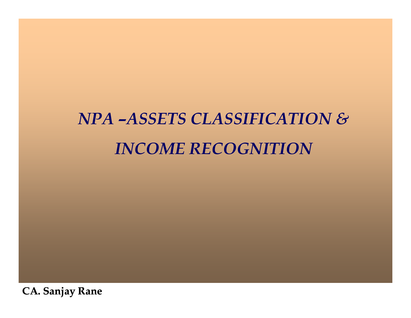# *NPA –ASSETS CLASSIFICATION & INCOME RECOGNITION*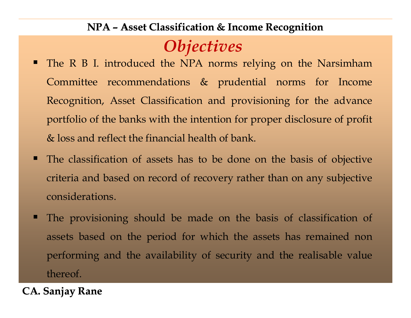### *Objectives*

- The <sup>R</sup> <sup>B</sup> I. introduced the NPA norms relying on the NarsimhamCommittee recommendations & prudential norms for Income Recognition, Asset Classification and provisioning for the advance portfolio of the banks with the intention for proper disclosure of profit & loss and reflect the financial health of bank.
- The classification of assets has to be done on the basis of objective criteria and based on record of recovery rather than on any subjective considerations.
- The provisioning should be made on the basis of classification of assets based on the period for which the assets has remained non performing and the availability of security and the realisable value thereof.
- **CA. Sanjay Rane**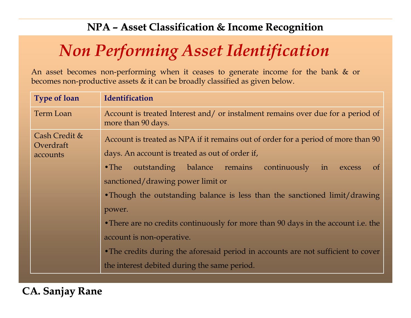## *Non Performing Asset Identification*

An asset becomes non-performing when it ceases to generate income for the bank & or becomes non-productive assets & it can be broadly classified as <sup>g</sup>iven below.

| <b>Type of loan</b>                    | <b>Identification</b>                                                                                                                                                                                                                                                                                                                                                                                                                                                                                                                                            |  |  |  |  |
|----------------------------------------|------------------------------------------------------------------------------------------------------------------------------------------------------------------------------------------------------------------------------------------------------------------------------------------------------------------------------------------------------------------------------------------------------------------------------------------------------------------------------------------------------------------------------------------------------------------|--|--|--|--|
| <b>Term Loan</b>                       | Account is treated Interest and/ or instalment remains over due for a period of<br>more than 90 days.                                                                                                                                                                                                                                                                                                                                                                                                                                                            |  |  |  |  |
| Cash Credit &<br>Overdraft<br>accounts | Account is treated as NPA if it remains out of order for a period of more than 90<br>days. An account is treated as out of order if,<br>outstanding balance remains continuously in excess<br>$\bullet$ The<br><sub>of</sub><br>sanctioned/drawing power limit or<br>• Though the outstanding balance is less than the sanctioned limit/drawing<br>power.<br>• There are no credits continuously for more than 90 days in the account i.e. the<br>account is non-operative.<br>• The credits during the aforesaid period in accounts are not sufficient to cover |  |  |  |  |
|                                        | the interest debited during the same period.                                                                                                                                                                                                                                                                                                                                                                                                                                                                                                                     |  |  |  |  |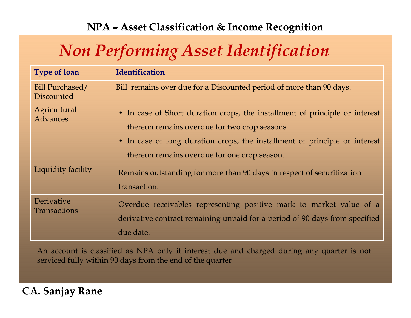## *Non Performing Asset Identification*

| <b>Type of loan</b>               | <b>Identification</b>                                                                                                                                                                                                                                     |
|-----------------------------------|-----------------------------------------------------------------------------------------------------------------------------------------------------------------------------------------------------------------------------------------------------------|
| Bill Purchased/<br>Discounted     | Bill remains over due for a Discounted period of more than 90 days.                                                                                                                                                                                       |
| Agricultural<br>Advances          | • In case of Short duration crops, the installment of principle or interest<br>thereon remains overdue for two crop seasons<br>• In case of long duration crops, the installment of principle or interest<br>thereon remains overdue for one crop season. |
| Liquidity facility                | Remains outstanding for more than 90 days in respect of securitization<br>transaction.                                                                                                                                                                    |
| Derivative<br><b>Transactions</b> | Overdue receivables representing positive mark to market value of a<br>derivative contract remaining unpaid for a period of 90 days from specified<br>due date.                                                                                           |

An account is classified as NPA only if interest due and charged during any quarter is not serviced fully within <sup>90</sup> days from the end of the quarter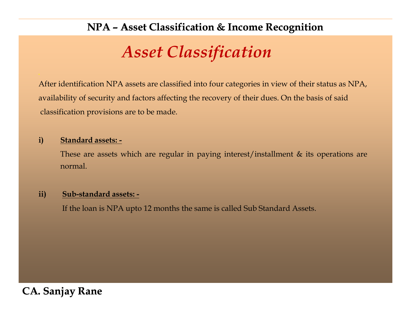### *Asset Classification*

After identification NPA assets are classified into four categories in view of their status as NPA, availability of security and factors affecting the recovery of their dues. On the basis of said classification provisions are to be made.

#### **i) Standard assets: -**

These are assets which are regular in paying interest/installment  $\&$  its operations are normal.

#### **ii) Sub-standard assets: -**

If the loan is NPA upto <sup>12</sup> months the same is called Sub Standard Assets.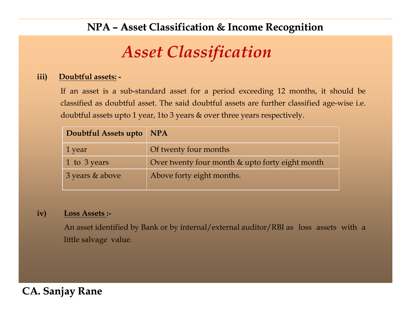### *Asset Classification*

#### **iii) Doubtful assets: -**

If an asset is <sup>a</sup> sub-standard asset for <sup>a</sup> period exceeding <sup>12</sup> months, it should be classified as doubtful asset. The said doubtful assets are further classified age-wise i.e. doubtful assets upto <sup>1</sup> year, 1to <sup>3</sup> years & over three years respectively.

| Doubtful Assets upto NPA |                                                 |
|--------------------------|-------------------------------------------------|
| 1 year                   | Of twenty four months                           |
| 1 to 3 years             | Over twenty four month & upto forty eight month |
| 3 years & above          | Above forty eight months.                       |

#### **iv) Loss Assets :-**

An asset identified by Bank or by internal/external auditor/RBI as loss assets with <sup>a</sup> little salvage value.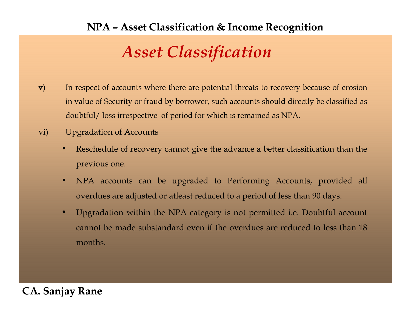### *Asset Classification*

- **v)** In respec<sup>t</sup> of accounts where there are potential threats to recovery because of erosion in value of Security or fraud by borrower, such accounts should directly be classified as doubtful/ loss irrespective of period for which is remained as NPA.
- vi) Upgradation of Accounts
	- • Reschedule of recovery cannot <sup>g</sup>ive the advance <sup>a</sup> better classification than the previous one.
	- • NPA accounts can be upgraded to Performing Accounts, provided all overdues are adjusted or atleast reduced to <sup>a</sup> period of less than <sup>90</sup> days.
	- • Upgradation within the NPA category is not permitted i.e. Doubtful account cannot be made substandard even if the overdues are reduced to less than <sup>18</sup> months.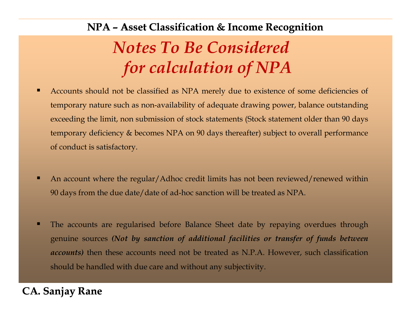## *Notes To Be Considered for calculation of NPA*

- K Accounts should not be classified as NPA merely due to existence of some deficiencies of temporary nature such as non-availability of adequate drawing power, balance outstanding exceeding the limit, non submission of stock statements (Stock statement older than <sup>90</sup> days temporary deficiency & becomes NPA on <sup>90</sup> days thereafter) subject to overall performance of conduct is satisfactory.
- n An account where the regular/Adhoc credit limits has not been reviewed/renewed within <sup>90</sup> days from the due date/date of ad-hoc sanction will be treated as NPA.
- п The accounts are regularised before Balance Sheet date by repaying overdues through genuine sources (Not by sanction of additional facilities or transfer of funds between *accounts)* then these accounts need not be treated as N.P.A. However, such classification should be handled with due care and without any subjectivity.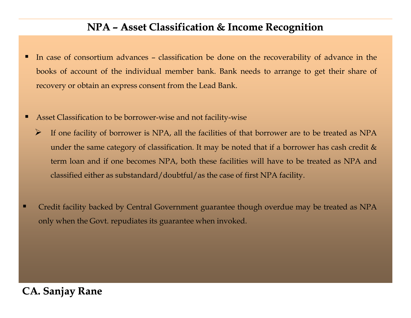- п In case of consortium advances – classification be done on the recoverability of advance in the books of account of the individual member bank. Bank needs to arrange to ge<sup>t</sup> their share of recovery or obtain an express consent from the Lead Bank.
- Asset Classification to be borrower-wise and not facility-wise
	- $\triangleright$  If one facility of borrower is NPA, all the facilities of that borrower are to be treated as NPA under the same category of classification. It may be noted that if a borrower has cash credit  $\&$ term loan and if one becomes NPA, both these facilities will have to be treated as NPA and classified either as substandard/doubtful/as the case of first NPA facility.
- n Credit facility backed by Central Government guarantee though overdue may be treated as NPAonly when the Govt. repudiates its guarantee when invoked.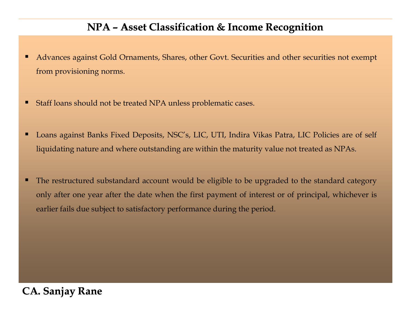- п Advances against Gold Ornaments, Shares, other Govt. Securities and other securities not exemp<sup>t</sup> from provisioning norms.
- н Staff loans should not be treated NPA unless problematic cases.
- п Loans against Banks Fixed Deposits, NSC's, LIC, UTI, Indira Vikas Patra, LIC Policies are of self liquidating nature and where outstanding are within the maturity value not treated as NPAs.
- п The restructured substandard account would be eligible to be upgraded to the standard category only after one year after the date when the first paymen<sup>t</sup> of interest or of principal, whichever is earlier fails due subject to satisfactory performance during the period.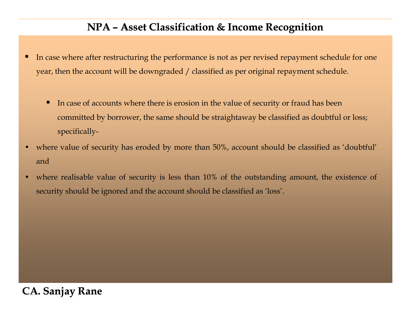- п In case where after restructuring the performance is not as per revised repaymen<sup>t</sup> schedule for one year, then the account will be downgraded / classified as per original repaymen<sup>t</sup> schedule.
	- Е In case of accounts where there is erosion in the value of security or fraud has been committed by borrower, the same should be straightaway be classified as doubtful or loss; specifically-
- $\bullet$  where value of security has eroded by more than 50%, account should be classified as 'doubtful' and
- • where realisable value of security is less than 10% of the outstanding amount, the existence of security should be ignored and the account should be classified as 'loss'.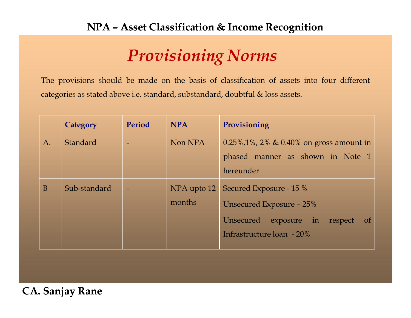### *Provisioning Norms*

The provisions should be made on the basis of classification of assets into four different categories as stated above i.e. standard, substandard, doubtful & loss assets.

|    | Category        | Period                   | <b>NPA</b>            | Provisioning                                                                                                                  |
|----|-----------------|--------------------------|-----------------------|-------------------------------------------------------------------------------------------------------------------------------|
| A. | <b>Standard</b> |                          | Non NPA               | $0.25\%, 1\%$ , 2% & 0.40% on gross amount in<br>phased manner as shown in Note 1<br>hereunder                                |
| B  | Sub-standard    | $\overline{\phantom{0}}$ | NPA upto 12<br>months | Secured Exposure - 15 %<br>Unsecured Exposure - 25%<br>Unsecured exposure in respect<br>$\sigma$<br>Infrastructure loan - 20% |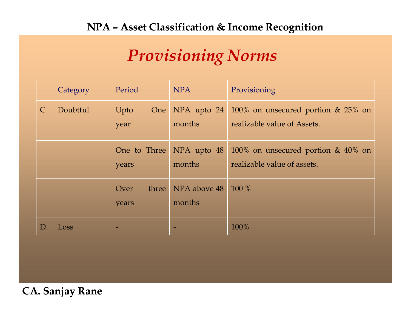### *Provisioning Norms*

|               | Category | Period                 | <b>NPA</b>             | Provisioning                                                                          |
|---------------|----------|------------------------|------------------------|---------------------------------------------------------------------------------------|
| $\mathcal{C}$ | Doubtful | Upto<br>One<br>year    | months                 | NPA upto $24 \mid 100\%$ on unsecured portion & 25% on<br>realizable value of Assets. |
|               |          | One to Three<br>years  | NPA upto 48<br>months  | 100% on unsecured portion $& 40\%$ on<br>realizable value of assets.                  |
|               |          | three<br>Over<br>years | NPA above 48<br>months | 100 %                                                                                 |
| D             | Loss     |                        |                        | 100%                                                                                  |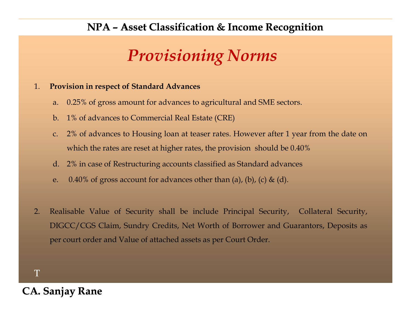## *Provisioning Norms*

#### 1.**Provision in respec<sup>t</sup> of Standard Advances**

- a. 0.25% of gross amount for advances to agricultural and SME sectors.
- b. 1% of advances to Commercial Real Estate (CRE)
- c. 2% of advances to Housing loan at teaser rates. However after <sup>1</sup> year from the date on which the rates are reset at higher rates, the provision should be 0.40%
- d. 2% in case of Restructuring accounts classified as Standard advances
- e. 0.40% of gross account for advances other than (a), (b), (c) & (d).
- 2. Realisable Value of Security shall be include Principal Security, Collateral Security, DIGCC/CGS Claim, Sundry Credits, Net Worth of Borrower and Guarantors, Deposits as per court order and Value of attached assets as per Court Order.

T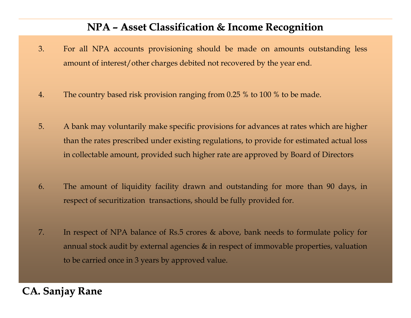- 3. For all NPA accounts provisioning should be made on amounts outstanding less amount of interest/other charges debited not recovered by the year end.
- 4. The country based risk provision ranging from 0.25 % to <sup>100</sup> % to be made.
- 5. <sup>A</sup> bank may voluntarily make specific provisions for advances at rates which are higher than the rates prescribed under existing regulations, to provide for estimated actual loss in collectable amount, provided such higher rate are approve<sup>d</sup> by Board of Directors
- 6. The amount of liquidity facility drawn and outstanding for more than <sup>90</sup> days, in respec<sup>t</sup> of securitization transactions, should be fully provided for.
- 7. In respec<sup>t</sup> of NPA balance of Rs.5 crores & above, bank needs to formulate policy for annual stock audit by external agencies & in respec<sup>t</sup> of immovable properties, valuation to be carried once in <sup>3</sup> years by approve<sup>d</sup> value.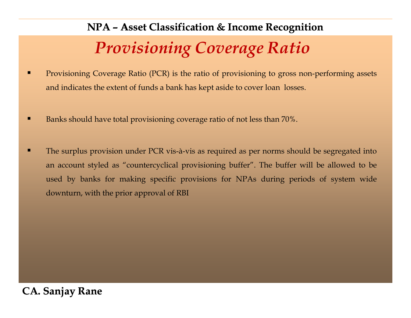## *Provisioning Coverage Ratio*

- п Provisioning Coverage Ratio (PCR) is the ratio of provisioning to gross non-performing assets and indicates the extent of funds <sup>a</sup> bank has kept aside to cover loan losses.
- П Banks should have total provisioning coverage ratio of not less than 70%.
- П The surplus provision under PCR vis-à-vis as required as per norms should be segregated into an account styled as "countercyclical provisioning buffer". The buffer will be allowed to be used by banks for making specific provisions for NPAs during periods of system wide downturn, with the prior approva<sup>l</sup> of RBI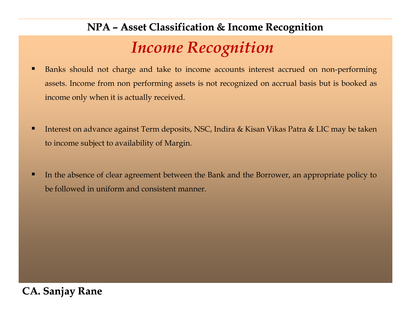### *Income Recognition*

- n Banks should not charge and take to income accounts interest accrued on non-performing assets. Income from non performing assets is not recognized on accrual basis but is booked as income only when it is actually received.
- п Interest on advance against Term deposits, NSC, Indira & Kisan Vikas Patra & LIC may be taken to income subject to availability of Margin.
- п In the absence of clear agreemen<sup>t</sup> between the Bank and the Borrower, an appropriate policy to be followed in uniform and consistent manner.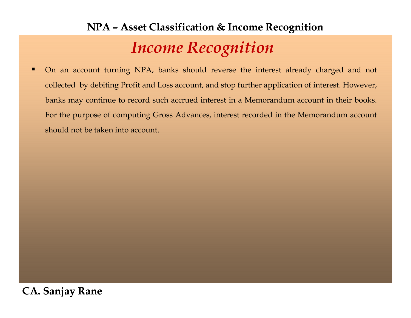### *Income Recognition*  **NPA – Asset Classification & Income Recognition Asset**

п On an account turning NPA, banks should reverse the interest already charged and not collected by debiting Profit and Loss account, and stop further application of interest. However, banks may continue to record such accrued interest in <sup>a</sup> Memorandum account in their books. For the purpose of computing Gross Advances, interest recorded in the Memorandum account should not be taken into account.